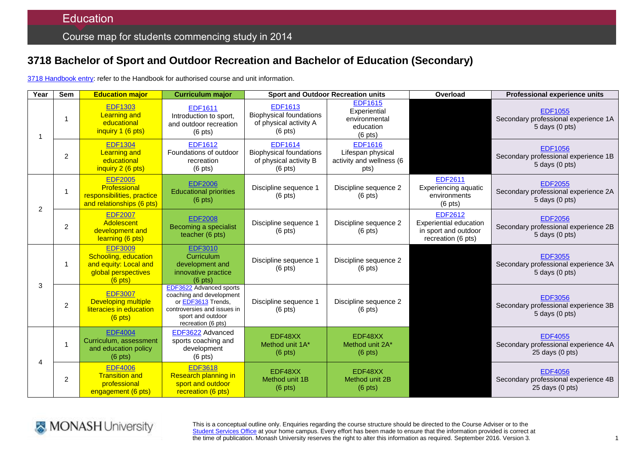# **3718 Bachelor of Sport and Outdoor Recreation and Bachelor of Education (Secondary)**

3718 [Handbook entry:](http://www.monash.edu.au/pubs/2014handbooks/courses/3718.html) refer to the Handbook for authorised course and unit information.

| Year | Sem            | <b>Education major</b>                                                                              | <b>Curriculum major</b>                                                                                                                             | <b>Sport and Outdoor Recreation units</b>                                                       |                                                                           | Overload                                                                               | <b>Professional experience units</b>                                          |
|------|----------------|-----------------------------------------------------------------------------------------------------|-----------------------------------------------------------------------------------------------------------------------------------------------------|-------------------------------------------------------------------------------------------------|---------------------------------------------------------------------------|----------------------------------------------------------------------------------------|-------------------------------------------------------------------------------|
|      |                | <b>EDF1303</b><br><b>Learning and</b><br>educational<br>inquiry 1 (6 pts)                           | <b>EDF1611</b><br>Introduction to sport,<br>and outdoor recreation<br>$(6$ pts)                                                                     | <b>EDF1613</b><br><b>Biophysical foundations</b><br>of physical activity A<br>$(6 \text{ pts})$ | <b>EDF1615</b><br>Experiential<br>environmental<br>education<br>$(6$ pts) |                                                                                        | <b>EDF1055</b><br>Secondary professional experience 1A<br>5 days (0 pts)      |
|      | $\overline{2}$ | <b>EDF1304</b><br><b>Learning and</b><br>educational<br>inquiry 2 (6 pts)                           | <b>EDF1612</b><br>Foundations of outdoor<br>recreation<br>$(6 \text{ pts})$                                                                         | <b>EDF1614</b><br><b>Biophysical foundations</b><br>of physical activity B<br>$(6 \text{ pts})$ | <b>EDF1616</b><br>Lifespan physical<br>activity and wellness (6<br>pts)   |                                                                                        | <b>EDF1056</b><br>Secondary professional experience 1B<br>5 days (0 pts)      |
| 2    | 1              | <b>EDF2005</b><br>Professional<br>responsibilities, practice<br>and relationships (6 pts)           | <b>EDF2006</b><br><b>Educational priorities</b><br>$(6$ pts)                                                                                        | Discipline sequence 1<br>$(6$ pts)                                                              | Discipline sequence 2<br>$(6 \text{ pts})$                                | <b>EDF2611</b><br><b>Experiencing aquatic</b><br>environments<br>$(6$ pts)             | <b>EDF2055</b><br>Secondary professional experience 2A<br>5 days (0 pts)      |
|      | $\overline{2}$ | <b>EDF2007</b><br>Adolescent<br>development and<br>learning (6 pts)                                 | <b>EDF2008</b><br>Becoming a specialist<br>teacher (6 pts)                                                                                          | Discipline sequence 1<br>$(6$ pts)                                                              | Discipline sequence 2<br>$(6$ pts)                                        | <b>EDF2612</b><br>Experiential education<br>in sport and outdoor<br>recreation (6 pts) | <b>EDF2056</b><br>Secondary professional experience 2B<br>$5$ days $(0$ pts)  |
| 3    | 1              | <b>EDF3009</b><br>Schooling, education<br>and equity: Local and<br>global perspectives<br>$(6$ pts) | <b>EDF3010</b><br>Curriculum<br>development and<br>innovative practice<br>$(6$ pts)                                                                 | Discipline sequence 1<br>$(6$ pts)                                                              | Discipline sequence 2<br>$(6 \text{ pts})$                                |                                                                                        | <b>EDF3055</b><br>Secondary professional experience 3A<br>5 days (0 pts)      |
|      | $\overline{c}$ | <b>EDF3007</b><br><b>Developing multiple</b><br>literacies in education<br>$(6$ pts)                | EDF3622 Advanced sports<br>coaching and development<br>or EDF3613 Trends,<br>controversies and issues in<br>sport and outdoor<br>recreation (6 pts) | Discipline sequence 1<br>$(6$ pts)                                                              | Discipline sequence 2<br>$(6$ pts)                                        |                                                                                        | <b>EDF3056</b><br>Secondary professional experience 3B<br>$5$ days $(0$ pts)  |
| Δ    |                | <b>EDF4004</b><br>Curriculum, assessment<br>and education policy<br>$(6$ pts)                       | EDF3622 Advanced<br>sports coaching and<br>development<br>$(6 \text{ pts})$                                                                         | EDF48XX<br>Method unit 1A*<br>$(6 \text{ pts})$                                                 | EDF48XX<br>Method unit 2A*<br>$(6 \text{ pts})$                           |                                                                                        | <b>EDF4055</b><br>Secondary professional experience 4A<br>$25$ days $(0$ pts) |
|      | 2              | <b>EDF4006</b><br><b>Transition and</b><br>professional<br>engagement (6 pts)                       | <b>EDF3618</b><br><b>Research planning in</b><br>sport and outdoor<br>recreation (6 pts)                                                            | EDF48XX<br>Method unit 1B<br>$(6$ pts)                                                          | EDF48XX<br>Method unit 2B<br>$(6 \text{ pts})$                            |                                                                                        | <b>EDF4056</b><br>Secondary professional experience 4B<br>$25$ days $(0$ pts) |



This is a conceptual outline only. Enquiries regarding the course structure should be directed to the Course Adviser or to the [Student Services Office](http://www.monash.edu/education/about/contact) at your home campus. Every effort has been made to ensure that the information provided is correct at the time of publication. Monash University reserves the right to alter this information as required. September 2016. Version 3.